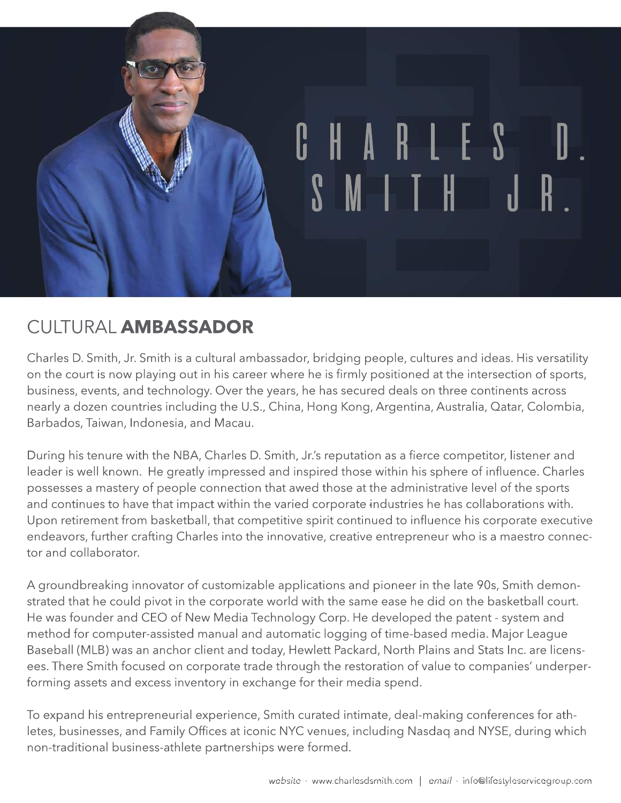

## CULTURAL **AMBASSADOR**

Charles D. Smith, Jr. Smith is a cultural ambassador, bridging people, cultures and ideas. His versatility on the court is now playing out in his career where he is firmly positioned at the intersection of sports, business, events, and technology. Over the years, he has secured deals on three continents across nearly a dozen countries including the U.S., China, Hong Kong, Argentina, Australia, Qatar, Colombia, Barbados, Taiwan, Indonesia, and Macau.

During his tenure with the NBA, Charles D. Smith, Jr.'s reputation as a fierce competitor, listener and leader is well known. He greatly impressed and inspired those within his sphere of influence. Charles possesses a mastery of people connection that awed those at the administrative level of the sports and continues to have that impact within the varied corporate industries he has collaborations with. Upon retirement from basketball, that competitive spirit continued to influence his corporate executive endeavors, further crafting Charles into the innovative, creative entrepreneur who is a maestro connector and collaborator.

A groundbreaking innovator of customizable applications and pioneer in the late 90s, Smith demonstrated that he could pivot in the corporate world with the same ease he did on the basketball court. He was founder and CEO of New Media Technology Corp. He developed the patent - system and method for computer-assisted manual and automatic logging of time-based media. Major League Baseball (MLB) was an anchor client and today, Hewlett Packard, North Plains and Stats Inc. are licensees. There Smith focused on corporate trade through the restoration of value to companies' underperforming assets and excess inventory in exchange for their media spend.

To expand his entrepreneurial experience, Smith curated intimate, deal-making conferences for athletes, businesses, and Family Offices at iconic NYC venues, including Nasdaq and NYSE, during which non-traditional business-athlete partnerships were formed.